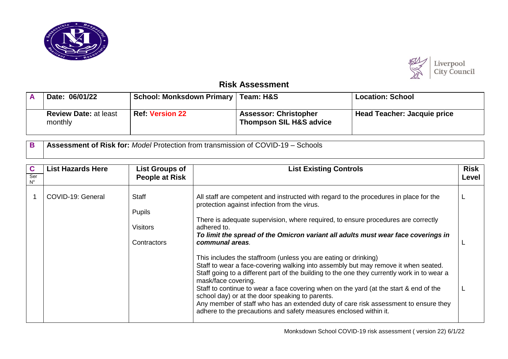



## **Risk Assessment**

| Date: 06/01/22                          | School: Monksdown Primary   Team: H&S |                                                                    | <b>Location: School</b>            |
|-----------------------------------------|---------------------------------------|--------------------------------------------------------------------|------------------------------------|
| <b>Review Date: at least</b><br>monthly | <b>Ref: Version 22</b>                | <b>Assessor: Christopher</b><br><b>Thompson SIL H&amp;S advice</b> | <b>Head Teacher: Jacquie price</b> |

**B Assessment of Risk for:** *Model* Protection from transmission of COVID-19 – Schools

| C<br>Ser<br>$\mathsf{N}^\mathsf{o}$ | <b>List Hazards Here</b> | <b>List Groups of</b><br><b>People at Risk</b>           | <b>List Existing Controls</b>                                                                                                                                                                                                                                                                                                                                                                                                                                                                                                                                                                                                                                                                                                                                                                                                                                                                                                            | <b>Risk</b><br>Level |
|-------------------------------------|--------------------------|----------------------------------------------------------|------------------------------------------------------------------------------------------------------------------------------------------------------------------------------------------------------------------------------------------------------------------------------------------------------------------------------------------------------------------------------------------------------------------------------------------------------------------------------------------------------------------------------------------------------------------------------------------------------------------------------------------------------------------------------------------------------------------------------------------------------------------------------------------------------------------------------------------------------------------------------------------------------------------------------------------|----------------------|
|                                     | COVID-19: General        | <b>Staff</b><br>Pupils<br><b>Visitors</b><br>Contractors | All staff are competent and instructed with regard to the procedures in place for the<br>protection against infection from the virus.<br>There is adequate supervision, where required, to ensure procedures are correctly<br>adhered to.<br>To limit the spread of the Omicron variant all adults must wear face coverings in<br>communal areas.<br>This includes the staffroom (unless you are eating or drinking)<br>Staff to wear a face-covering walking into assembly but may remove it when seated.<br>Staff going to a different part of the building to the one they currently work in to wear a<br>mask/face covering.<br>Staff to continue to wear a face covering when on the yard (at the start & end of the<br>school day) or at the door speaking to parents.<br>Any member of staff who has an extended duty of care risk assessment to ensure they<br>adhere to the precautions and safety measures enclosed within it. |                      |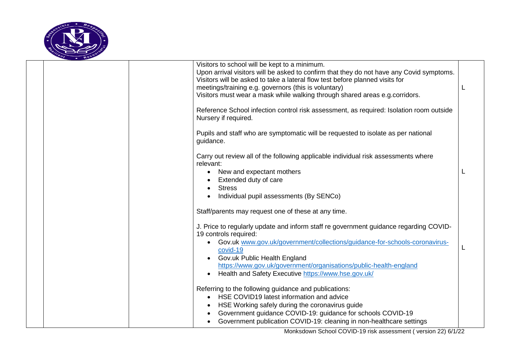

|  | Visitors to school will be kept to a minimum.                                                                   |  |
|--|-----------------------------------------------------------------------------------------------------------------|--|
|  | Upon arrival visitors will be asked to confirm that they do not have any Covid symptoms.                        |  |
|  | Visitors will be asked to take a lateral flow test before planned visits for                                    |  |
|  | meetings/training e.g. governors (this is voluntary)                                                            |  |
|  | Visitors must wear a mask while walking through shared areas e.g. corridors.                                    |  |
|  |                                                                                                                 |  |
|  | Reference School infection control risk assessment, as required: Isolation room outside<br>Nursery if required. |  |
|  | Pupils and staff who are symptomatic will be requested to isolate as per national<br>guidance.                  |  |
|  | Carry out review all of the following applicable individual risk assessments where<br>relevant:                 |  |
|  | New and expectant mothers<br>$\bullet$                                                                          |  |
|  | Extended duty of care                                                                                           |  |
|  | <b>Stress</b>                                                                                                   |  |
|  | Individual pupil assessments (By SENCo)                                                                         |  |
|  |                                                                                                                 |  |
|  | Staff/parents may request one of these at any time.                                                             |  |
|  | J. Price to regularly update and inform staff re government guidance regarding COVID-                           |  |
|  | 19 controls required:                                                                                           |  |
|  | Gov.uk www.gov.uk/government/collections/guidance-for-schools-coronavirus-                                      |  |
|  | covid-19                                                                                                        |  |
|  | Gov.uk Public Health England                                                                                    |  |
|  | https://www.gov.uk/government/organisations/public-health-england                                               |  |
|  | Health and Safety Executive https://www.hse.gov.uk/<br>$\bullet$                                                |  |
|  |                                                                                                                 |  |
|  | Referring to the following guidance and publications:                                                           |  |
|  | HSE COVID19 latest information and advice                                                                       |  |
|  | HSE Working safely during the coronavirus guide                                                                 |  |
|  | Government guidance COVID-19: guidance for schools COVID-19                                                     |  |
|  | Government publication COVID-19: cleaning in non-healthcare settings                                            |  |
|  |                                                                                                                 |  |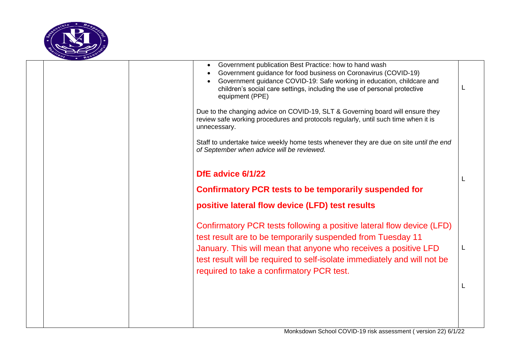

|  | Government publication Best Practice: how to hand wash<br>Government guidance for food business on Coronavirus (COVID-19)<br>Government guidance COVID-19: Safe working in education, childcare and<br>children's social care settings, including the use of personal protective<br>equipment (PPE)                              |  |
|--|----------------------------------------------------------------------------------------------------------------------------------------------------------------------------------------------------------------------------------------------------------------------------------------------------------------------------------|--|
|  | Due to the changing advice on COVID-19, SLT & Governing board will ensure they<br>review safe working procedures and protocols regularly, until such time when it is<br>unnecessary.                                                                                                                                             |  |
|  | Staff to undertake twice weekly home tests whenever they are due on site <i>until the end</i><br>of September when advice will be reviewed.                                                                                                                                                                                      |  |
|  | DfE advice 6/1/22                                                                                                                                                                                                                                                                                                                |  |
|  | <b>Confirmatory PCR tests to be temporarily suspended for</b>                                                                                                                                                                                                                                                                    |  |
|  | positive lateral flow device (LFD) test results                                                                                                                                                                                                                                                                                  |  |
|  | Confirmatory PCR tests following a positive lateral flow device (LFD)<br>test result are to be temporarily suspended from Tuesday 11<br>January. This will mean that anyone who receives a positive LFD<br>test result will be required to self-isolate immediately and will not be<br>required to take a confirmatory PCR test. |  |
|  |                                                                                                                                                                                                                                                                                                                                  |  |
|  |                                                                                                                                                                                                                                                                                                                                  |  |
|  |                                                                                                                                                                                                                                                                                                                                  |  |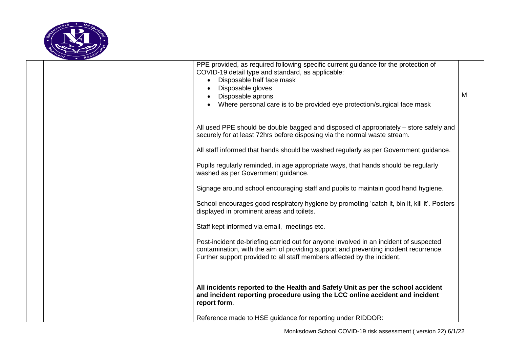

|  | PPE provided, as required following specific current guidance for the protection of<br>COVID-19 detail type and standard, as applicable:<br>Disposable half face mask<br>Disposable gloves<br>Disposable aprons<br>Where personal care is to be provided eye protection/surgical face mask | M |
|--|--------------------------------------------------------------------------------------------------------------------------------------------------------------------------------------------------------------------------------------------------------------------------------------------|---|
|  | All used PPE should be double bagged and disposed of appropriately – store safely and<br>securely for at least 72hrs before disposing via the normal waste stream.                                                                                                                         |   |
|  | All staff informed that hands should be washed regularly as per Government guidance.                                                                                                                                                                                                       |   |
|  | Pupils regularly reminded, in age appropriate ways, that hands should be regularly<br>washed as per Government guidance.                                                                                                                                                                   |   |
|  | Signage around school encouraging staff and pupils to maintain good hand hygiene.                                                                                                                                                                                                          |   |
|  | School encourages good respiratory hygiene by promoting 'catch it, bin it, kill it'. Posters<br>displayed in prominent areas and toilets.                                                                                                                                                  |   |
|  | Staff kept informed via email, meetings etc.                                                                                                                                                                                                                                               |   |
|  | Post-incident de-briefing carried out for anyone involved in an incident of suspected<br>contamination, with the aim of providing support and preventing incident recurrence.<br>Further support provided to all staff members affected by the incident.                                   |   |
|  | All incidents reported to the Health and Safety Unit as per the school accident<br>and incident reporting procedure using the LCC online accident and incident<br>report form.                                                                                                             |   |
|  | Reference made to HSE guidance for reporting under RIDDOR:                                                                                                                                                                                                                                 |   |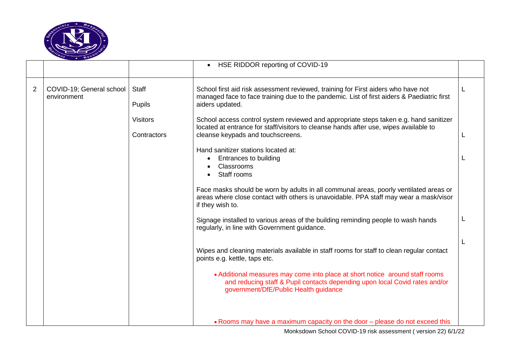

|                |                                         |                                | • HSE RIDDOR reporting of COVID-19                                                                                                                                                                                  |  |
|----------------|-----------------------------------------|--------------------------------|---------------------------------------------------------------------------------------------------------------------------------------------------------------------------------------------------------------------|--|
| $\overline{2}$ | COVID-19; General school<br>environment | Staff<br><b>Pupils</b>         | School first aid risk assessment reviewed, training for First aiders who have not<br>managed face to face training due to the pandemic. List of first aiders & Paediatric first<br>aiders updated.                  |  |
|                |                                         | <b>Visitors</b><br>Contractors | School access control system reviewed and appropriate steps taken e.g. hand sanitizer<br>located at entrance for staff/visitors to cleanse hands after use, wipes available to<br>cleanse keypads and touchscreens. |  |
|                |                                         |                                | Hand sanitizer stations located at:<br>Entrances to building<br>Classrooms<br>Staff rooms                                                                                                                           |  |
|                |                                         |                                | Face masks should be worn by adults in all communal areas, poorly ventilated areas or<br>areas where close contact with others is unavoidable. PPA staff may wear a mask/visor<br>if they wish to.                  |  |
|                |                                         |                                | Signage installed to various areas of the building reminding people to wash hands<br>regularly, in line with Government guidance.                                                                                   |  |
|                |                                         |                                | Wipes and cleaning materials available in staff rooms for staff to clean regular contact<br>points e.g. kettle, taps etc.                                                                                           |  |
|                |                                         |                                | • Additional measures may come into place at short notice around staff rooms<br>and reducing staff & Pupil contacts depending upon local Covid rates and/or<br>government/DfE/Public Health guidance                |  |
|                |                                         |                                | • Rooms may have a maximum capacity on the door – please do not exceed this                                                                                                                                         |  |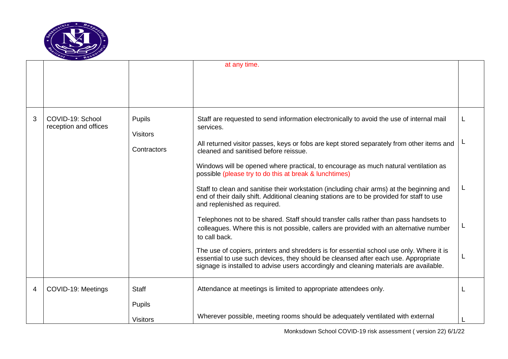

|   |                                           |                                  | at any time.                                                                                                                                                                                                                                                             |  |
|---|-------------------------------------------|----------------------------------|--------------------------------------------------------------------------------------------------------------------------------------------------------------------------------------------------------------------------------------------------------------------------|--|
|   |                                           |                                  |                                                                                                                                                                                                                                                                          |  |
|   |                                           |                                  |                                                                                                                                                                                                                                                                          |  |
| 3 | COVID-19: School<br>reception and offices | <b>Pupils</b><br><b>Visitors</b> | Staff are requested to send information electronically to avoid the use of internal mail<br>services.                                                                                                                                                                    |  |
|   |                                           | Contractors                      | All returned visitor passes, keys or fobs are kept stored separately from other items and<br>cleaned and sanitised before reissue.                                                                                                                                       |  |
|   |                                           |                                  | Windows will be opened where practical, to encourage as much natural ventilation as<br>possible (please try to do this at break & lunchtimes)                                                                                                                            |  |
|   |                                           |                                  | Staff to clean and sanitise their workstation (including chair arms) at the beginning and<br>end of their daily shift. Additional cleaning stations are to be provided for staff to use<br>and replenished as required.                                                  |  |
|   |                                           |                                  | Telephones not to be shared. Staff should transfer calls rather than pass handsets to<br>colleagues. Where this is not possible, callers are provided with an alternative number<br>to call back.                                                                        |  |
|   |                                           |                                  | The use of copiers, printers and shredders is for essential school use only. Where it is<br>essential to use such devices, they should be cleansed after each use. Appropriate<br>signage is installed to advise users accordingly and cleaning materials are available. |  |
| 4 | COVID-19: Meetings                        | <b>Staff</b>                     | Attendance at meetings is limited to appropriate attendees only.                                                                                                                                                                                                         |  |
|   |                                           | Pupils                           |                                                                                                                                                                                                                                                                          |  |
|   |                                           | <b>Visitors</b>                  | Wherever possible, meeting rooms should be adequately ventilated with external                                                                                                                                                                                           |  |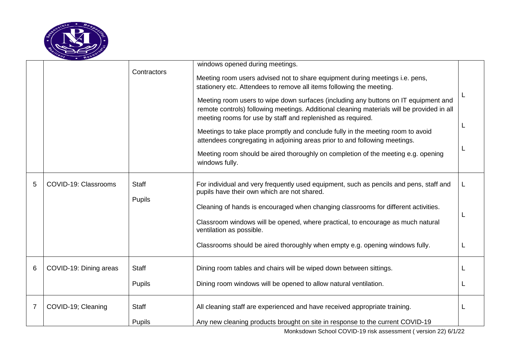

|   |                        |               | windows opened during meetings.                                                                                                                                                                                                                                                                                                                                                                                                                                                                                                                                                                                                                                                  |   |
|---|------------------------|---------------|----------------------------------------------------------------------------------------------------------------------------------------------------------------------------------------------------------------------------------------------------------------------------------------------------------------------------------------------------------------------------------------------------------------------------------------------------------------------------------------------------------------------------------------------------------------------------------------------------------------------------------------------------------------------------------|---|
|   |                        | Contractors   | Meeting room users advised not to share equipment during meetings i.e. pens,<br>stationery etc. Attendees to remove all items following the meeting.<br>Meeting room users to wipe down surfaces (including any buttons on IT equipment and<br>remote controls) following meetings. Additional cleaning materials will be provided in all<br>meeting rooms for use by staff and replenished as required.<br>Meetings to take place promptly and conclude fully in the meeting room to avoid<br>attendees congregating in adjoining areas prior to and following meetings.<br>Meeting room should be aired thoroughly on completion of the meeting e.g. opening<br>windows fully. |   |
|   |                        |               |                                                                                                                                                                                                                                                                                                                                                                                                                                                                                                                                                                                                                                                                                  |   |
| 5 | COVID-19: Classrooms   | <b>Staff</b>  | For individual and very frequently used equipment, such as pencils and pens, staff and<br>pupils have their own which are not shared.                                                                                                                                                                                                                                                                                                                                                                                                                                                                                                                                            | L |
|   |                        | Pupils        | Cleaning of hands is encouraged when changing classrooms for different activities.                                                                                                                                                                                                                                                                                                                                                                                                                                                                                                                                                                                               |   |
|   |                        |               | Classroom windows will be opened, where practical, to encourage as much natural<br>ventilation as possible.                                                                                                                                                                                                                                                                                                                                                                                                                                                                                                                                                                      |   |
|   |                        |               | Classrooms should be aired thoroughly when empty e.g. opening windows fully.                                                                                                                                                                                                                                                                                                                                                                                                                                                                                                                                                                                                     |   |
| 6 | COVID-19: Dining areas | <b>Staff</b>  | Dining room tables and chairs will be wiped down between sittings.                                                                                                                                                                                                                                                                                                                                                                                                                                                                                                                                                                                                               |   |
|   |                        | <b>Pupils</b> | Dining room windows will be opened to allow natural ventilation.                                                                                                                                                                                                                                                                                                                                                                                                                                                                                                                                                                                                                 |   |
| 7 | COVID-19; Cleaning     | <b>Staff</b>  | All cleaning staff are experienced and have received appropriate training.                                                                                                                                                                                                                                                                                                                                                                                                                                                                                                                                                                                                       |   |
|   |                        | <b>Pupils</b> | Any new cleaning products brought on site in response to the current COVID-19                                                                                                                                                                                                                                                                                                                                                                                                                                                                                                                                                                                                    |   |

Monksdown School COVID-19 risk assessment ( version 22) 6/1/22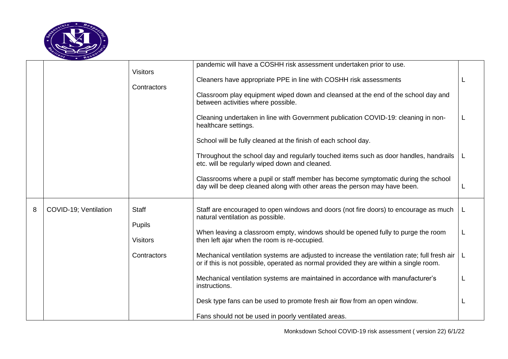

|   |                       | <b>Visitors</b><br>Contractors                                  | pandemic will have a COSHH risk assessment undertaken prior to use.<br>Cleaners have appropriate PPE in line with COSHH risk assessments<br>Classroom play equipment wiped down and cleansed at the end of the school day and<br>between activities where possible.<br>Cleaning undertaken in line with Government publication COVID-19: cleaning in non-<br>healthcare settings.<br>School will be fully cleaned at the finish of each school day.<br>Throughout the school day and regularly touched items such as door handles, handrails<br>etc. will be regularly wiped down and cleaned.<br>Classrooms where a pupil or staff member has become symptomatic during the school<br>day will be deep cleaned along with other areas the person may have been. |  |
|---|-----------------------|-----------------------------------------------------------------|------------------------------------------------------------------------------------------------------------------------------------------------------------------------------------------------------------------------------------------------------------------------------------------------------------------------------------------------------------------------------------------------------------------------------------------------------------------------------------------------------------------------------------------------------------------------------------------------------------------------------------------------------------------------------------------------------------------------------------------------------------------|--|
| 8 | COVID-19; Ventilation | <b>Staff</b><br><b>Pupils</b><br><b>Visitors</b><br>Contractors | Staff are encouraged to open windows and doors (not fire doors) to encourage as much<br>natural ventilation as possible.<br>When leaving a classroom empty, windows should be opened fully to purge the room<br>then left ajar when the room is re-occupied.<br>Mechanical ventilation systems are adjusted to increase the ventilation rate; full fresh air<br>or if this is not possible, operated as normal provided they are within a single room.<br>Mechanical ventilation systems are maintained in accordance with manufacturer's<br>instructions.<br>Desk type fans can be used to promote fresh air flow from an open window.<br>Fans should not be used in poorly ventilated areas.                                                                   |  |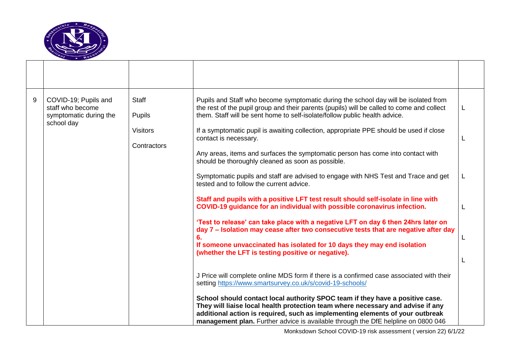

| 9 | COVID-19; Pupils and<br>staff who become<br>symptomatic during the<br>school day | <b>Staff</b><br><b>Pupils</b><br><b>Visitors</b> | Pupils and Staff who become symptomatic during the school day will be isolated from<br>the rest of the pupil group and their parents (pupils) will be called to come and collect<br>them. Staff will be sent home to self-isolate/follow public health advice.<br>If a symptomatic pupil is awaiting collection, appropriate PPE should be used if close | L |
|---|----------------------------------------------------------------------------------|--------------------------------------------------|----------------------------------------------------------------------------------------------------------------------------------------------------------------------------------------------------------------------------------------------------------------------------------------------------------------------------------------------------------|---|
|   |                                                                                  | Contractors                                      | contact is necessary.                                                                                                                                                                                                                                                                                                                                    | L |
|   |                                                                                  |                                                  | Any areas, items and surfaces the symptomatic person has come into contact with<br>should be thoroughly cleaned as soon as possible.                                                                                                                                                                                                                     |   |
|   |                                                                                  |                                                  | Symptomatic pupils and staff are advised to engage with NHS Test and Trace and get<br>tested and to follow the current advice.<br>Staff and pupils with a positive LFT test result should self-isolate in line with                                                                                                                                      | L |
|   |                                                                                  |                                                  | COVID-19 guidance for an individual with possible coronavirus infection.<br>'Test to release' can take place with a negative LFT on day 6 then 24hrs later on                                                                                                                                                                                            | L |
|   |                                                                                  |                                                  | day 7 - Isolation may cease after two consecutive tests that are negative after day<br>6.<br>If someone unvaccinated has isolated for 10 days they may end isolation                                                                                                                                                                                     | L |
|   |                                                                                  |                                                  | (whether the LFT is testing positive or negative).                                                                                                                                                                                                                                                                                                       |   |
|   |                                                                                  |                                                  | J Price will complete online MDS form if there is a confirmed case associated with their<br>setting https://www.smartsurvey.co.uk/s/covid-19-schools/                                                                                                                                                                                                    |   |
|   |                                                                                  |                                                  | School should contact local authority SPOC team if they have a positive case.<br>They will liaise local health protection team where necessary and advise if any<br>additional action is required, such as implementing elements of your outbreak<br>management plan. Further advice is available through the DfE helpline on 0800 046                   |   |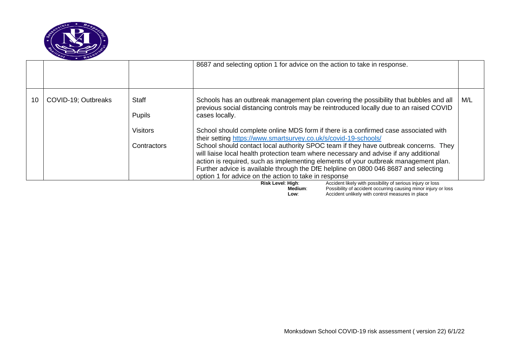

|    |                     |                                                                 | 8687 and selecting option 1 for advice on the action to take in response.                                                                                                                                                                                                                                                                                                                                                                                                                                                                                                                                                                                                                                                                                                           |     |
|----|---------------------|-----------------------------------------------------------------|-------------------------------------------------------------------------------------------------------------------------------------------------------------------------------------------------------------------------------------------------------------------------------------------------------------------------------------------------------------------------------------------------------------------------------------------------------------------------------------------------------------------------------------------------------------------------------------------------------------------------------------------------------------------------------------------------------------------------------------------------------------------------------------|-----|
| 10 | COVID-19; Outbreaks | <b>Staff</b><br><b>Pupils</b><br><b>Visitors</b><br>Contractors | Schools has an outbreak management plan covering the possibility that bubbles and all<br>previous social distancing controls may be reintroduced locally due to an raised COVID<br>cases locally.<br>School should complete online MDS form if there is a confirmed case associated with<br>their setting https://www.smartsurvey.co.uk/s/covid-19-schools/<br>School should contact local authority SPOC team if they have outbreak concerns. They<br>will liaise local health protection team where necessary and advise if any additional<br>action is required, such as implementing elements of your outbreak management plan.<br>Further advice is available through the DfE helpline on 0800 046 8687 and selecting<br>option 1 for advice on the action to take in response | M/L |
|    |                     |                                                                 | Accident likely with possibility of serious injury or loss<br>Risk Level: High:<br>Possibility of accident occurring causing minor injury or loss<br>Medium:<br>Accident unlikely with control measures in place<br>Low:                                                                                                                                                                                                                                                                                                                                                                                                                                                                                                                                                            |     |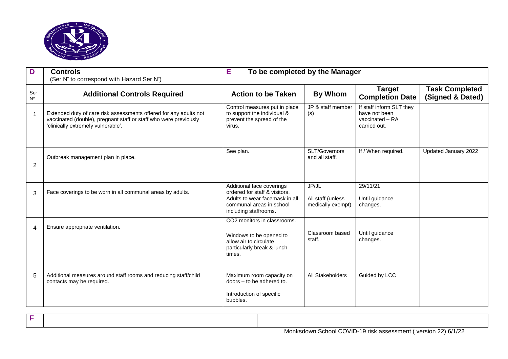

| D                  | <b>Controls</b><br>(Ser N° to correspond with Hazard Ser N°)                                                                                                                | E<br>To be completed by the Manager                                                                                                               |                                                 |                                                                              |                                           |
|--------------------|-----------------------------------------------------------------------------------------------------------------------------------------------------------------------------|---------------------------------------------------------------------------------------------------------------------------------------------------|-------------------------------------------------|------------------------------------------------------------------------------|-------------------------------------------|
| Ser<br>$N^{\circ}$ | <b>Additional Controls Required</b>                                                                                                                                         | <b>Action to be Taken</b>                                                                                                                         | <b>By Whom</b>                                  | <b>Target</b><br><b>Completion Date</b>                                      | <b>Task Completed</b><br>(Signed & Dated) |
| 1                  | Extended duty of care risk assessments offered for any adults not<br>vaccinated (double), pregnant staff or staff who were previously<br>'clinically extremely vulnerable'. | Control measures put in place<br>to support the individual &<br>prevent the spread of the<br>virus.                                               | JP & staff member<br>(s)                        | If staff inform SLT they<br>have not been<br>vaccinated - RA<br>carried out. |                                           |
| 2                  | Outbreak management plan in place.                                                                                                                                          | See plan.                                                                                                                                         | SLT/Governors<br>and all staff.                 | If / When required.                                                          | Updated January 2022                      |
| 3                  | Face coverings to be worn in all communal areas by adults.                                                                                                                  | Additional face coverings<br>ordered for staff & visitors.<br>Adults to wear facemask in all<br>communal areas in school<br>including staffrooms. | JP/JL<br>All staff (unless<br>medically exempt) | 29/11/21<br>Until guidance<br>changes.                                       |                                           |
| 4                  | Ensure appropriate ventilation.                                                                                                                                             | CO <sub>2</sub> monitors in classrooms.<br>Windows to be opened to<br>allow air to circulate<br>particularly break & lunch<br>times.              | Classroom based<br>staff.                       | Until guidance<br>changes.                                                   |                                           |
| 5                  | Additional measures around staff rooms and reducing staff/child<br>contacts may be required.                                                                                | Maximum room capacity on<br>doors - to be adhered to.<br>Introduction of specific<br>bubbles.                                                     | All Stakeholders                                | Guided by LCC                                                                |                                           |